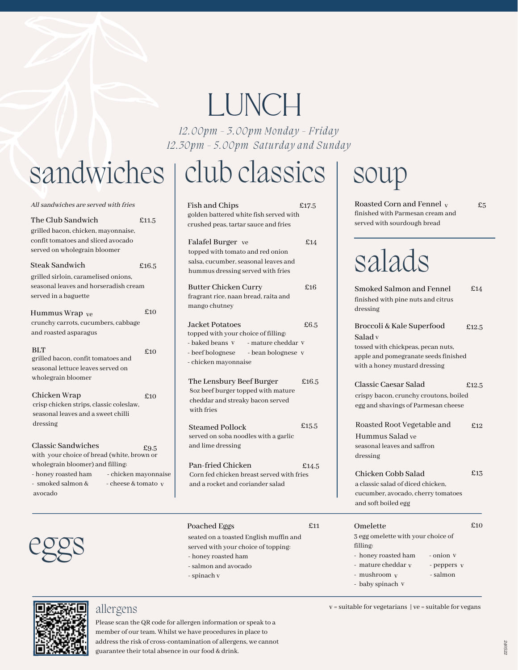# LUNCH

*12.00pm - 3.00pm Monday - Friday 12.30pm - 5.00pm Saturday and Sunday*

# sandwiches | club classics

| All sandwiches are served with fries                                                                                    |                      | Fish and Chips                                                                                                   | £17.5    |
|-------------------------------------------------------------------------------------------------------------------------|----------------------|------------------------------------------------------------------------------------------------------------------|----------|
| The Club Sandwich<br>grilled bacon, chicken, mayonnaise,                                                                | £11.5                | golden battered white fish served with<br>crushed peas, tartar sauce and fries                                   |          |
| confit tomatoes and sliced avocado<br>served on wholegrain bloomer                                                      |                      | Falafel Burger ve<br>topped with tomato and red onion                                                            | £14      |
| Steak Sandwich                                                                                                          | £16.5                | salsa, cucumber, seasonal leaves and<br>hummus dressing served with fries                                        |          |
| grilled sirloin, caramelised onions,<br>seasonal leaves and horseradish cream<br>served in a baguette<br>Hummus Wrap ve | £10                  | <b>Butter Chicken Curry</b><br>fragrant rice, naan bread, raita and<br>mango chutney                             | £16      |
| crunchy carrots, cucumbers, cabbage                                                                                     |                      | Jacket Potatoes                                                                                                  | £6.5     |
| and roasted asparagus                                                                                                   |                      | topped with your choice of filling:<br>- baked beans V<br>- mature cheddar V                                     |          |
| <b>BLT</b><br>grilled bacon, confit tomatoes and<br>seasonal lettuce leaves served on                                   | £10                  | - beef bolognese<br>- bean bolognese v<br>- chicken mayonnaise                                                   |          |
| wholegrain bloomer<br>Chicken Wrap<br>crisp chicken strips, classic coleslaw,<br>seasonal leaves and a sweet chilli     | £10                  | The Lensbury Beef Burger<br>8oz beef burger topped with mature<br>cheddar and streaky bacon served<br>with fries | £ $16.5$ |
| dressing<br>Classic Sandwiches                                                                                          |                      | <b>Steamed Pollock</b><br>served on soba noodles with a garlic<br>and lime dressing                              | £15.5    |
| with your choice of bread (white, brown or                                                                              | £9.5                 |                                                                                                                  |          |
| wholegrain bloomer) and filling:<br>- honey roasted ham<br>- smoked salmon &<br>- cheese & tomato y                     | - chicken mayonnaise | Pan-fried Chicken<br>Corn fed chicken breast served with fries<br>and a rocket and coriander salad               | £14.     |
| avocado                                                                                                                 |                      |                                                                                                                  |          |



## soup

Roasted Corn and Fennel v finished with Parmesan cream and served with sourdough bread

#### £5

## salads

| hicken Curry<br>ice, naan bread, raita and<br>utney                                                                       | ±16   | Smoked Salmon and Fennel<br>£14<br>finished with pine nuts and citrus<br>dressing                                                                                                          |  |
|---------------------------------------------------------------------------------------------------------------------------|-------|--------------------------------------------------------------------------------------------------------------------------------------------------------------------------------------------|--|
| otatoes<br>th your choice of filling:<br>- mature cheddar V<br>ans V<br>- bean bolognese v<br>ognese<br>mayonnaise        | £6.5  | Broccoli & Kale Superfood<br>£12.5<br>Salad v<br>tossed with chickpeas, pecan nuts,<br>apple and pomegranate seeds finished<br>with a honey mustard dressing                               |  |
| sbury Beef Burger<br>ourger topped with mature<br>and streaky bacon served                                                | £16.5 | Classic Caesar Salad<br>£12.5<br>crispy bacon, crunchy croutons, boiled<br>egg and shavings of Parmesan cheese                                                                             |  |
| l Pollock<br>soba noodles with a garlic<br>dressing<br>d Chicken                                                          | £15.5 | Roasted Root Vegetable and<br>£12<br>Hummus Salad ve<br>seasonal leaves and saffron<br>dressing                                                                                            |  |
| chicken breast served with fries<br>ket and coriander salad                                                               | £14.5 | £13<br>Chicken Cobb Salad<br>a classic salad of diced chicken.<br>cucumber, avocado, cherry tomatoes<br>and soft boiled egg                                                                |  |
| Eggs<br>a toasted English muffin and<br>th your choice of topping:<br>asted ham<br>and avocado<br>$\overline{\mathbf{V}}$ | £11   | £10<br>Omelette<br>3 egg omelette with your choice of<br>filling:<br>- honey roasted ham<br>- onion v<br>- mature cheddar v<br>- peppers v<br>- salmon<br>- mushroom v<br>- baby spinach V |  |



#### allergens

Please scan the QR code for allergen information or speak to a member of our team. Whilst we have procedures in place to address the risk of cross-contamination of allergens, we cannot guarantee their total absence in our food & drink.

Poached Eggs

- spinach

- honey roasted ham - salmon and avocado

seated on a toasted English muffin and served with your choice of topping:

 $v =$  suitable for vegetarians  $|ve =$  suitable for vegans

240522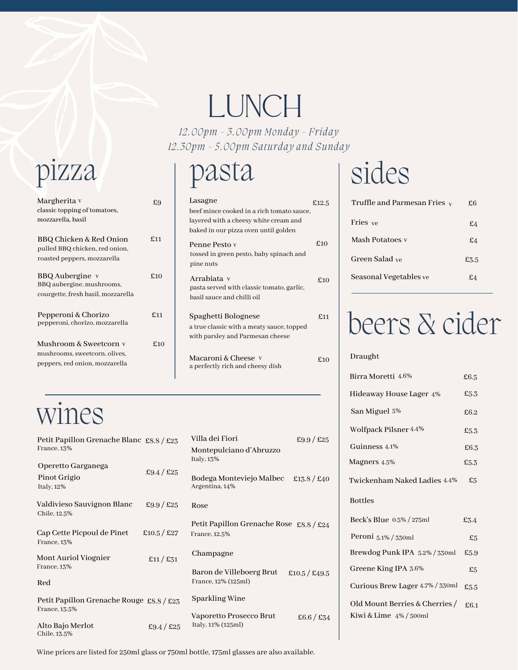# LUNCH

*12.00pm - 3.00pm Monday - Friday 12.30pm - 5.00pm Saturday and Sunday*

#### pizza pasta

| Lasagne<br>beef mince cooked in a rich tomato sauce,<br>layered with a cheesy white cream and<br>baked in our pizza oven until golden | £12.5 |
|---------------------------------------------------------------------------------------------------------------------------------------|-------|
| Penne Pesto y<br>tossed in green pesto, baby spinach and<br>pine nuts                                                                 | f10   |
| Arrabiata v<br>pasta served with classic tomato, garlic,<br>basil sauce and chilli oil                                                | f10   |
| Spaghetti Bolognese<br>a true classic with a meaty sauce, topped<br>with parsley and Parmesan cheese                                  | £11   |
| Macaroni & Cheese v<br>a perfectly rich and cheesy dish                                                                               | f10   |

### Margherita  $v = 69$

| classic topping of tomatoes,       |     |
|------------------------------------|-----|
| mozzarella, basil                  |     |
|                                    |     |
| BBQ Chicken & Red Onion            | £11 |
| pulled BBQ chicken, red onion,     |     |
| roasted peppers, mozzarella        |     |
|                                    |     |
| BBQ Aubergine v                    | £10 |
| BBQ aubergine, mushrooms,          |     |
| courgette, fresh basil, mozzarella |     |
|                                    |     |
| Pepperoni & Chorizo                | £11 |
| pepperoni, chorizo, mozzarella     |     |
|                                    |     |
| Mushroom & Sweetcorn v             | £10 |
|                                    |     |
| mushrooms, sweetcorn, olives,      |     |
| peppers, red onion, mozzarella     |     |
|                                    |     |

## wines

| Petit Papillon Grenache Blanc £8.8 / £23<br>France, 13% |             | Villa dei Fiori<br>Montepulciano d'Abruzzo                 | £9.9/£25      |
|---------------------------------------------------------|-------------|------------------------------------------------------------|---------------|
| Operetto Garganega<br>Pinot Grigio<br>Italy, 12%        | £9.4 / £25  | Italy, $13%$<br>Bodega Monteviejo Malbec<br>Argentina, 14% | £13.8 / £40   |
| Valdivieso Sauvignon Blanc<br>Chile, 12.5%              | £9.9/£25    | Rose                                                       |               |
| Cap Cette Picpoul de Pinet<br>France, 13%               | £10.5 / £27 | Petit Papillon Grenache Rose £8.8 / £24<br>France, 12.5%   |               |
| Mont Auriol Viognier                                    | £11/£31     | Champagne                                                  |               |
| France, 13%<br>Red                                      |             | Baron de Villeboerg Brut<br>France, 12% (125ml)            | £10.5 / £49.5 |
| Petit Papillon Grenache Rouge £8.8 / £23                |             | Sparkling Wine                                             |               |
| France, 13.5%<br>Alto Bajo Merlot<br>Chile, 13.5%       | £9.4 / £25  | Vaporetto Prosecco Brut<br>Italy, 11% (125ml)              | £6.6 / £34    |

### sides

| Truffle and Parmesan Fries $_{\rm V}$ | £6   |
|---------------------------------------|------|
| Fries ve                              | £4   |
| Mash Potatoes y                       | £4   |
| Green Salad ve                        | £3.5 |
| Seasonal Vegetables ve                |      |

# beers & cider

#### Draught

| Birra Moretti 4.6%                                          | £6.5 |
|-------------------------------------------------------------|------|
| Hideaway House Lager 4%                                     | £5.3 |
| San Miguel 5%                                               | £6.2 |
| Wolfpack Pilsner 4.4%                                       | £5.3 |
| Guinness 4.1%                                               | £6.3 |
| Magners 4.5%                                                | £5.3 |
| Twickenham Naked Ladies 4.4%                                | £5   |
| <b>Bottles</b>                                              |      |
| Beck's Blue 0.5% / 275ml                                    | £3.4 |
| Peroni $5.1\%$ / 330ml                                      | £5   |
| Brewdog Punk IPA 5.2% / 330ml                               | £5.9 |
| Greene King IPA 3.6%                                        | £5   |
| Curious Brew Lager 4.7% / 330ml                             | £5.5 |
| Old Mount Berries & Cherries /<br>Kiwi & Lime $4\%$ / 500ml | £6.1 |

Wine prices are listed for 250ml glass or 750ml bottle, 175ml glasses are also available.